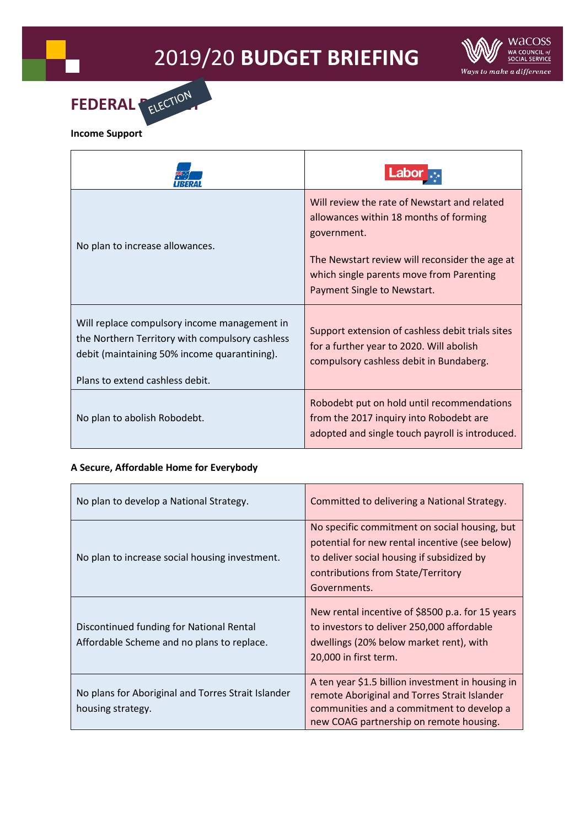## 2019/20 **BUDGET BRIEFING**



| No plan to increase allowances.                                                                                                                                                    | Will review the rate of Newstart and related<br>allowances within 18 months of forming<br>government.<br>The Newstart review will reconsider the age at<br>which single parents move from Parenting<br>Payment Single to Newstart. |
|------------------------------------------------------------------------------------------------------------------------------------------------------------------------------------|------------------------------------------------------------------------------------------------------------------------------------------------------------------------------------------------------------------------------------|
| Will replace compulsory income management in<br>the Northern Territory with compulsory cashless<br>debit (maintaining 50% income quarantining).<br>Plans to extend cashless debit. | Support extension of cashless debit trials sites<br>for a further year to 2020. Will abolish<br>compulsory cashless debit in Bundaberg.                                                                                            |
| No plan to abolish Robodebt.                                                                                                                                                       | Robodebt put on hold until recommendations<br>from the 2017 inquiry into Robodebt are<br>adopted and single touch payroll is introduced.                                                                                           |

## **A Secure, Affordable Home for Everybody**

| No plan to develop a National Strategy.                                                | Committed to delivering a National Strategy.                                                                                                                                                        |
|----------------------------------------------------------------------------------------|-----------------------------------------------------------------------------------------------------------------------------------------------------------------------------------------------------|
| No plan to increase social housing investment.                                         | No specific commitment on social housing, but<br>potential for new rental incentive (see below)<br>to deliver social housing if subsidized by<br>contributions from State/Territory<br>Governments. |
| Discontinued funding for National Rental<br>Affordable Scheme and no plans to replace. | New rental incentive of \$8500 p.a. for 15 years<br>to investors to deliver 250,000 affordable<br>dwellings (20% below market rent), with<br>20,000 in first term.                                  |
| No plans for Aboriginal and Torres Strait Islander<br>housing strategy.                | A ten year \$1.5 billion investment in housing in<br>remote Aboriginal and Torres Strait Islander<br>communities and a commitment to develop a<br>new COAG partnership on remote housing.           |